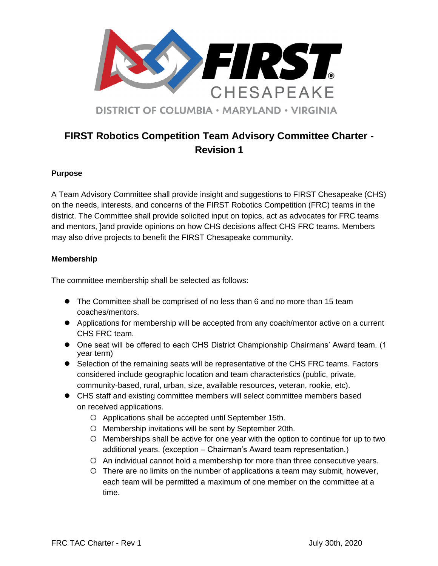

# **FIRST Robotics Competition Team Advisory Committee Charter - Revision 1**

## **Purpose**

A Team Advisory Committee shall provide insight and suggestions to FIRST Chesapeake (CHS) on the needs, interests, and concerns of the FIRST Robotics Competition (FRC) teams in the district. The Committee shall provide solicited input on topics, act as advocates for FRC teams and mentors, ]and provide opinions on how CHS decisions affect CHS FRC teams. Members may also drive projects to benefit the FIRST Chesapeake community.

### **Membership**

The committee membership shall be selected as follows:

- The Committee shall be comprised of no less than 6 and no more than 15 team coaches/mentors.
- Applications for membership will be accepted from any coach/mentor active on a current CHS FRC team.
- One seat will be offered to each CHS District Championship Chairmans' Award team. (1 year term)
- Selection of the remaining seats will be representative of the CHS FRC teams. Factors considered include geographic location and team characteristics (public, private, community-based, rural, urban, size, available resources, veteran, rookie, etc).
- CHS staff and existing committee members will select committee members based on received applications.
	- Applications shall be accepted until September 15th.
	- O Membership invitations will be sent by September 20th.
	- Memberships shall be active for one year with the option to continue for up to two additional years. (exception – Chairman's Award team representation.)
	- An individual cannot hold a membership for more than three consecutive years.
	- There are no limits on the number of applications a team may submit, however, each team will be permitted a maximum of one member on the committee at a time.